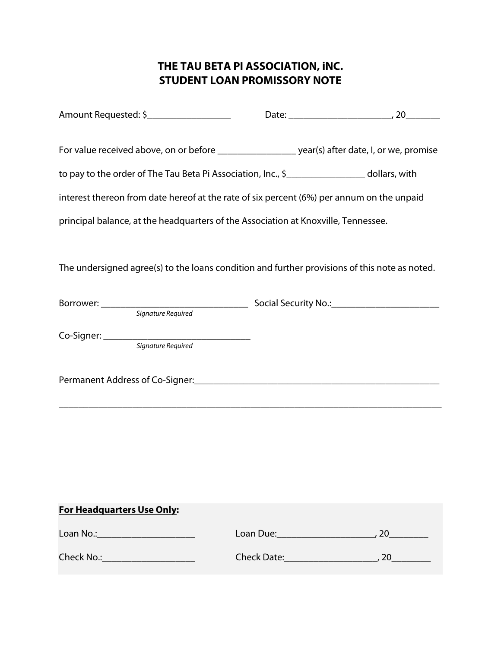## **THE TAU BETA PI ASSOCIATION, iNC. STUDENT LOAN PROMISSORY NOTE**

| For value received above, on or before ______________________ year(s) after date, I, or we, promise |  |  |
|-----------------------------------------------------------------------------------------------------|--|--|
| to pay to the order of The Tau Beta Pi Association, Inc., \$____________________ dollars, with      |  |  |
| interest thereon from date hereof at the rate of six percent (6%) per annum on the unpaid           |  |  |
| principal balance, at the headquarters of the Association at Knoxville, Tennessee.                  |  |  |
|                                                                                                     |  |  |
| The undersigned agree(s) to the loans condition and further provisions of this note as noted.       |  |  |
|                                                                                                     |  |  |
|                                                                                                     |  |  |
|                                                                                                     |  |  |
|                                                                                                     |  |  |
|                                                                                                     |  |  |
|                                                                                                     |  |  |
|                                                                                                     |  |  |
|                                                                                                     |  |  |
|                                                                                                     |  |  |
|                                                                                                     |  |  |
| <b>For Headquarters Use Only:</b>                                                                   |  |  |
| Loan No.: _________________________                                                                 |  |  |
| Check No.:________________________                                                                  |  |  |
|                                                                                                     |  |  |